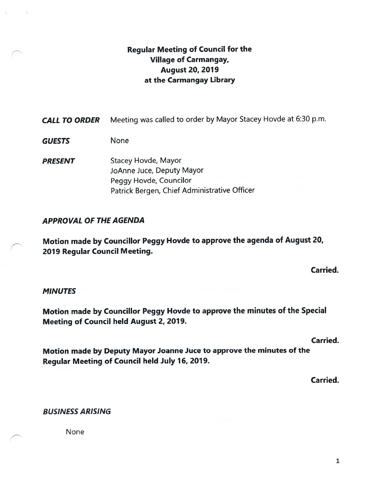# Regular Meeting of Council for the Village of Carmangay, August 20, 2019 at the Carmangay Library

**CALL TO ORDER** Meeting was called to order by Mayor Stacey Hovde at 6:30 p.m.

GUESTS None

PRESENT Stacey Hovde, Mayor JoAnne Juce, Deputy Mayor Peggy Hovde, Councilor Patrick Bergen, Chief Administrative Officer

### APPROVAL OF THE AGENDA

Motion made by Councillor Peggy Hovde to approve the agenda of August 20, 2019 Regular Council Meeting.

Carried.

### **MINUTES**

Motion made by Councillor Peggy Hovde to approve the minutes of the Special Meeting of Council held August 2, 2079.

Carried.

Motion made by Deputy Mayor Joanne Juce to approve the minutes of the Regular Meeting of Council held July 16, 2019.

Carried.

### BUSINESS ARISING

None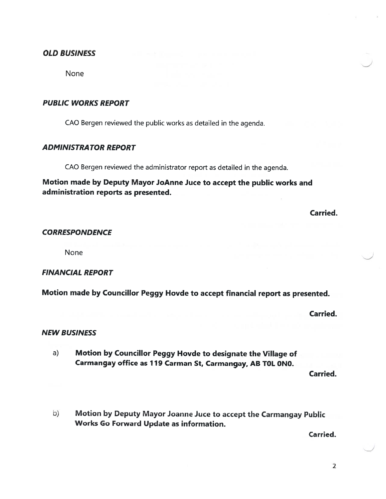### OLD BUSINESS

None

### PUBLIC WORKS REPORT

CAO Bergen reviewed the public works as detailed in the agenda.

### ADMINISTRA TOR REPORT

CAO Bergen reviewed the administrator repor<sup>t</sup> as detailed in the agenda.

Motion made by Deputy Mayor JoAnne Juce to accep<sup>t</sup> the public works and administration reports as presented.

Carried.

#### **CORRESPONDENCE**

None

### FINANCIAL REPORT

Motion made by Councillor Peggy Hovde to accep<sup>t</sup> financial repor<sup>t</sup> as presented.

Carried.

### NEW BUSINESS

a) Motion by Councillor Peggy Hovde to designate the Village of Carmangay office as 119 Carman St, Carmangay, AB TOL ONO.

Carried.

b) Motion by Deputy Mayor Joanne Juce to accep<sup>t</sup> the Carmangay Public Works Go Forward Update as information.

Carried.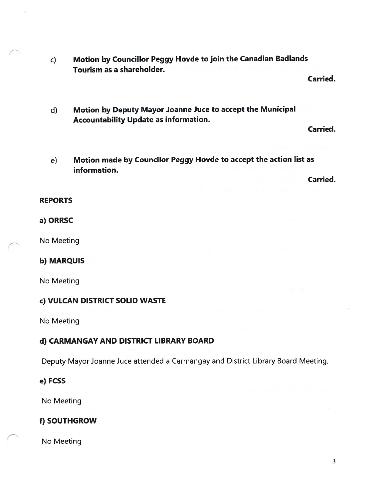c) Motion by Councillor Peggy Hovde to join the Canadian Badlands Tourism as a shareholder.

Carried.

d) Motion by Deputy Mayor Joanne Juce to accept the Municipal Accountability Update as information.

Carried.

e) Motion made by Councilor Peggy Hovde to accept the action list as information.

Carried.

#### REPORTS

#### a) ORRSC

No Meeting

### b) MARQUIS

No Meeting

### c) VULCAN DISTRICT SOLID WASTE

No Meeting

# d) CARMANGAY AND DISTRICT LIBRARY BOARD

Deputy Mayor Joanne Juce attended a Carmangay and District Library Board Meeting.

#### e) FCSS

No Meeting

### f) SOUTHGROW

No Meeting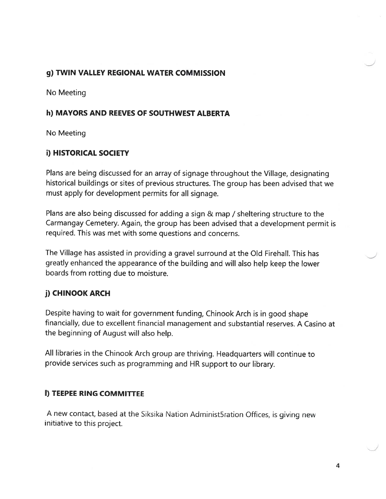# 9) TWIN VALLEY REGIONAL WATER COMMISSION

No Meeting

### h) MAYORS AND REEVES OF SOUTHWEST ALBERTA

No Meeting

# i) HISTORICAL SOCIETY

Plans are being discussed for an array of signage throughout the Village, designating historical buildings or sites of previous structures. The group has been advised that we must apply for development permits for all signage.

Plans are also being discussed for adding <sup>a</sup> sign & map / sheltering structure to the Carmangay Cemetery. Again, the group has been advised that <sup>a</sup> development permit is required. This was met with some questions and concerns.

The Village has assisted in providing <sup>a</sup> grave<sup>l</sup> surround at the Old Firehall. This has greatly enhanced the appearance of the building and will also help keep the lower boards from rotting due to moisture.

# j) CHINOOK ARCH

Despite having to wait for governmen<sup>t</sup> funding, Chinook Arch is in goo<sup>d</sup> shape financially, due to excellent financial managemen<sup>t</sup> and substantial reserves. <sup>A</sup> Casino at the beginning of August will also help.

All libraries in the Chinook Arch group are thriving. Headquarters will continue to provide services such as programming and HR suppor<sup>t</sup> to our library.

# I) TEEPEE RING COMMITTEE

<sup>A</sup> new contact, based at the Siksika Nation Administ5ration Offices, is <sup>g</sup>iving new initiative to this project.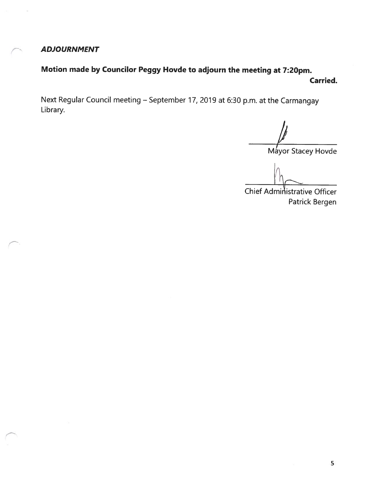ADJOURNMENT

Motion made by Councilor Peggy Hovde to adjourn the meeting at 7:20pm. Carried.

Next Regular Council meeting — September 17, 2019 at 6:30 p.m. at the Carmangay Library.

A

Máyor Stacey Hovde

Chief Administrative Officer Patrick Bergen